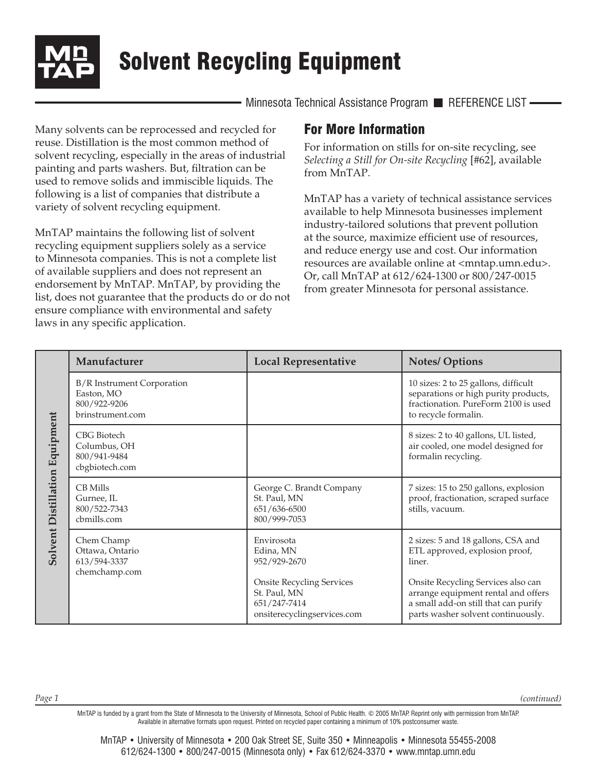

Solvent Recycling Equipment

Minnesota Technical Assistance Program REFERENCE LIST -

Many solvents can be reprocessed and recycled for reuse. Distillation is the most common method of solvent recycling, especially in the areas of industrial painting and parts washers. But, filtration can be used to remove solids and immiscible liquids. The following is a list of companies that distribute a variety of solvent recycling equipment.

MnTAP maintains the following list of solvent recycling equipment suppliers solely as a service to Minnesota companies. This is not a complete list of available suppliers and does not represent an endorsement by MnTAP. MnTAP, by providing the list, does not guarantee that the products do or do not ensure compliance with environmental and safety laws in any specific application.

## For More Information

For information on stills for on-site recycling, see *Selecting a Still for On-site Recycling* [#62], available from MnTAP.

MnTAP has a variety of technical assistance services available to help Minnesota businesses implement industry-tailored solutions that prevent pollution at the source, maximize efficient use of resources, and reduce energy use and cost. Our information resources are available online at <mntap.umn.edu>. Or, call MnTAP at 612/624-1300 or 800/247-0015 from greater Minnesota for personal assistance.

| Solvent Distillation Equipment | Manufacturer                                                                        | <b>Local Representative</b>                                                                     | <b>Notes/Options</b>                                                                                                                                    |
|--------------------------------|-------------------------------------------------------------------------------------|-------------------------------------------------------------------------------------------------|---------------------------------------------------------------------------------------------------------------------------------------------------------|
|                                | <b>B/R</b> Instrument Corporation<br>Easton, MO<br>800/922-9206<br>brinstrument.com |                                                                                                 | 10 sizes: 2 to 25 gallons, difficult<br>separations or high purity products,<br>fractionation. PureForm 2100 is used<br>to recycle formalin.            |
|                                | CBG Biotech<br>Columbus, OH<br>800/941-9484<br>cbgbiotech.com                       |                                                                                                 | 8 sizes: 2 to 40 gallons, UL listed,<br>air cooled, one model designed for<br>formalin recycling.                                                       |
|                                | <b>CB</b> Mills<br>Gurnee, IL<br>800/522-7343<br>cbmills.com                        | George C. Brandt Company<br>St. Paul, MN<br>651/636-6500<br>800/999-7053                        | 7 sizes: 15 to 250 gallons, explosion<br>proof, fractionation, scraped surface<br>stills, vacuum.                                                       |
|                                | Chem Champ<br>Ottawa, Ontario<br>613/594-3337<br>chemchamp.com                      | Envirosota<br>Edina, MN<br>952/929-2670                                                         | 2 sizes: 5 and 18 gallons, CSA and<br>ETL approved, explosion proof,<br>liner.                                                                          |
|                                |                                                                                     | <b>Onsite Recycling Services</b><br>St. Paul, MN<br>651/247-7414<br>onsiterecyclingservices.com | Onsite Recycling Services also can<br>arrange equipment rental and offers<br>a small add-on still that can purify<br>parts washer solvent continuously. |

*(continued)*

MnTAP is funded by a grant from the State of Minnesota to the University of Minnesota, School of Public Health. © 2005 MnTAP. Reprint only with permission from MnTAP. Available in alternative formats upon request. Printed on recycled paper containing a minimum of 10% postconsumer waste.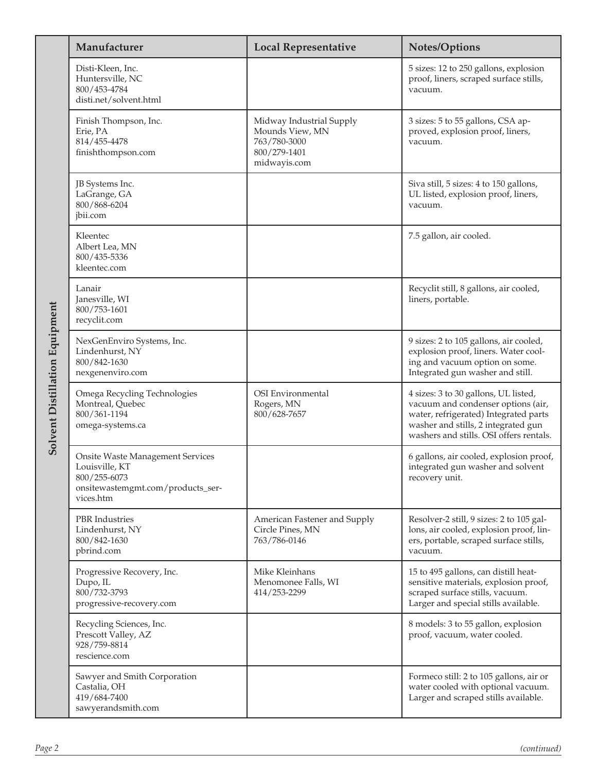| Solvent Distillation Equipment | Manufacturer                                                                                                                | <b>Local Representative</b>                                                                 | <b>Notes/Options</b>                                                                                                                                                                                  |
|--------------------------------|-----------------------------------------------------------------------------------------------------------------------------|---------------------------------------------------------------------------------------------|-------------------------------------------------------------------------------------------------------------------------------------------------------------------------------------------------------|
|                                | Disti-Kleen, Inc.<br>Huntersville, NC<br>800/453-4784<br>disti.net/solvent.html                                             |                                                                                             | 5 sizes: 12 to 250 gallons, explosion<br>proof, liners, scraped surface stills,<br>vacuum.                                                                                                            |
|                                | Finish Thompson, Inc.<br>Erie, PA<br>814/455-4478<br>finishthompson.com                                                     | Midway Industrial Supply<br>Mounds View, MN<br>763/780-3000<br>800/279-1401<br>midwayis.com | 3 sizes: 5 to 55 gallons, CSA ap-<br>proved, explosion proof, liners,<br>vacuum.                                                                                                                      |
|                                | JB Systems Inc.<br>LaGrange, GA<br>800/868-6204<br>jbii.com                                                                 |                                                                                             | Siva still, 5 sizes: 4 to 150 gallons,<br>UL listed, explosion proof, liners,<br>vacuum.                                                                                                              |
|                                | Kleentec<br>Albert Lea, MN<br>800/435-5336<br>kleentec.com                                                                  |                                                                                             | 7.5 gallon, air cooled.                                                                                                                                                                               |
|                                | Lanair<br>Janesville, WI<br>800/753-1601<br>recyclit.com                                                                    |                                                                                             | Recyclit still, 8 gallons, air cooled,<br>liners, portable.                                                                                                                                           |
|                                | NexGenEnviro Systems, Inc.<br>Lindenhurst, NY<br>800/842-1630<br>nexgenenviro.com                                           |                                                                                             | 9 sizes: 2 to 105 gallons, air cooled,<br>explosion proof, liners. Water cool-<br>ing and vacuum option on some.<br>Integrated gun washer and still.                                                  |
|                                | Omega Recycling Technologies<br>Montreal, Quebec<br>800/361-1194<br>omega-systems.ca                                        | OSI Environmental<br>Rogers, MN<br>800/628-7657                                             | 4 sizes: 3 to 30 gallons, UL listed,<br>vacuum and condenser options (air,<br>water, refrigerated) Integrated parts<br>washer and stills, 2 integrated gun<br>washers and stills. OSI offers rentals. |
|                                | <b>Onsite Waste Management Services</b><br>Louisville, KT<br>800/255-6073<br>onsitewastemgmt.com/products_ser-<br>vices.htm |                                                                                             | 6 gallons, air cooled, explosion proof,<br>integrated gun washer and solvent<br>recovery unit.                                                                                                        |
|                                | PBR Industries<br>Lindenhurst, NY<br>800/842-1630<br>pbrind.com                                                             | American Fastener and Supply<br>Circle Pines, MN<br>763/786-0146                            | Resolver-2 still, 9 sizes: 2 to 105 gal-<br>lons, air cooled, explosion proof, lin-<br>ers, portable, scraped surface stills,<br>vacuum.                                                              |
|                                | Progressive Recovery, Inc.<br>Dupo, IL<br>800/732-3793<br>progressive-recovery.com                                          | Mike Kleinhans<br>Menomonee Falls, WI<br>414/253-2299                                       | 15 to 495 gallons, can distill heat-<br>sensitive materials, explosion proof,<br>scraped surface stills, vacuum.<br>Larger and special stills available.                                              |
|                                | Recycling Sciences, Inc.<br>Prescott Valley, AZ<br>928/759-8814<br>rescience.com                                            |                                                                                             | 8 models: 3 to 55 gallon, explosion<br>proof, vacuum, water cooled.                                                                                                                                   |
|                                | Sawyer and Smith Corporation<br>Castalia, OH<br>419/684-7400<br>sawyerandsmith.com                                          |                                                                                             | Formeco still: 2 to 105 gallons, air or<br>water cooled with optional vacuum.<br>Larger and scraped stills available.                                                                                 |
| Page 2                         |                                                                                                                             |                                                                                             | (continued)                                                                                                                                                                                           |